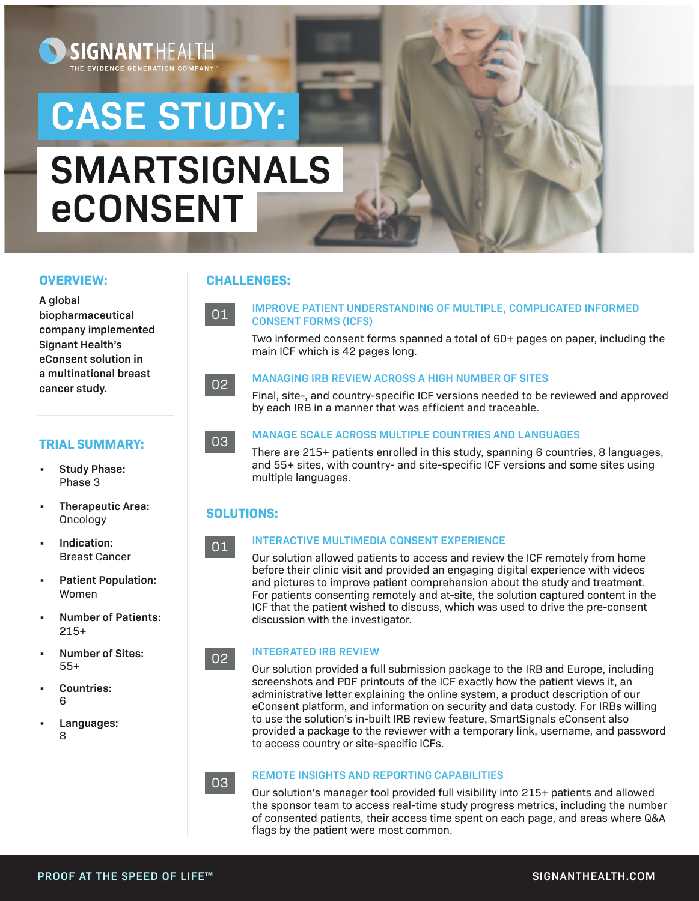# **CASE STUDY:**

**SIGNANT** 

THE EVI<mark>dence</mark> Generation Company

# **SMARTSIGNALS eCONSENT**

#### **OVERVIEW:**

**A global biopharmaceutical company implemented Signant Health's eConsent solution in a multinational breast cancer study.** 

#### **TRIAL SUMMARY:**

- **• Study Phase:**  Phase 3
- **• Therapeutic Area:**  Oncology
- **• Indication:**  Breast Cancer
- **• Patient Population:**  Women
- **• Number of Patients: 2**15+
- **• Number of Sites:**  55+
- **• Countries:**  6
- **• Languages:**  8

#### **CHALLENGES:**

**IMPROVE PATIENT UNDERSTANDING OF MULTIPLE, COMPLICATED INFORMED CONSENT FORMS (ICFS)** 

Two informed consent forms spanned a total of 60+ pages on paper, including the main ICF which is 42 pages long.

#### **MANAGING IRB REVIEW ACROSS A HIGH NUMBER OF SITES**

Final, site-, and country-specific ICF versions needed to be reviewed and approved by each IRB in a manner that was efficient and traceable.



01

02

#### **MANAGE SCALE ACROSS MULTIPLE COUNTRIES AND LANGUAGES**

There are 215+ patients enrolled in this study, spanning 6 countries, 8 languages, and 55+ sites, with country- and site-specific ICF versions and some sites using multiple languages.

#### **SOLUTIONS:**

#### 01

02

03

#### **INTERACTIVE MULTIMEDIA CONSENT EXPERIENCE**

Our solution allowed patients to access and review the ICF remotely from home before their clinic visit and provided an engaging digital experience with videos and pictures to improve patient comprehension about the study and treatment. For patients consenting remotely and at-site, the solution captured content in the ICF that the patient wished to discuss, which was used to drive the pre-consent discussion with the investigator.

#### **INTEGRATED IRB REVIEW**

Our solution provided a full submission package to the IRB and Europe, including screenshots and PDF printouts of the ICF exactly how the patient views it, an administrative letter explaining the online system, a product description of our eConsent platform, and information on security and data custody. For IRBs willing to use the solution's in-built IRB review feature, SmartSignals eConsent also provided a package to the reviewer with a temporary link, username, and password to access country or site-specific ICFs.

#### **REMOTE INSIGHTS AND REPORTING CAPABILITIES**

Our solution's manager tool provided full visibility into 215+ patients and allowed the sponsor team to access real-time study progress metrics, including the number of consented patients, their access time spent on each page, and areas where Q&A flags by the patient were most common.